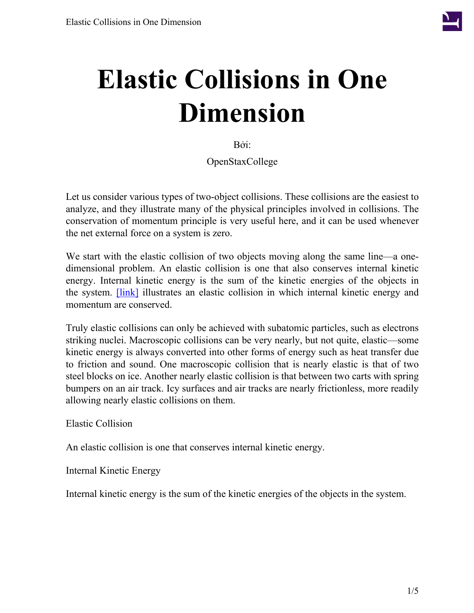

# **Elastic Collisions in One Dimension**

Bởi:

OpenStaxCollege

Let us consider various types of two-object collisions. These collisions are the easiest to analyze, and they illustrate many of the physical principles involved in collisions. The conservation of momentum principle is very useful here, and it can be used whenever the net external force on a system is zero.

We start with the elastic collision of two objects moving along the same line—a onedimensional problem. An elastic collision is one that also conserves internal kinetic energy. Internal kinetic energy is the sum of the kinetic energies of the objects in the system. **[\[link\]](#page-1-0)** illustrates an elastic collision in which internal kinetic energy and momentum are conserved.

Truly elastic collisions can only be achieved with subatomic particles, such as electrons striking nuclei. Macroscopic collisions can be very nearly, but not quite, elastic—some kinetic energy is always converted into other forms of energy such as heat transfer due to friction and sound. One macroscopic collision that is nearly elastic is that of two steel blocks on ice. Another nearly elastic collision is that between two carts with spring bumpers on an air track. Icy surfaces and air tracks are nearly frictionless, more readily allowing nearly elastic collisions on them.

Elastic Collision

An elastic collision is one that conserves internal kinetic energy.

Internal Kinetic Energy

Internal kinetic energy is the sum of the kinetic energies of the objects in the system.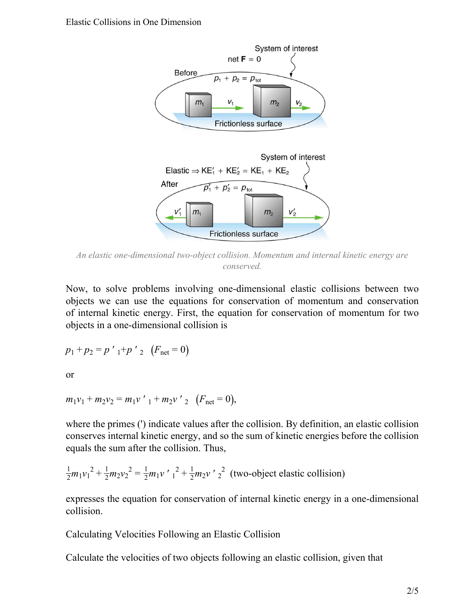<span id="page-1-0"></span>

*An elastic one-dimensional two-object collision. Momentum and internal kinetic energy are conserved.*

Now, to solve problems involving one-dimensional elastic collisions between two objects we can use the equations for conservation of momentum and conservation of internal kinetic energy. First, the equation for conservation of momentum for two objects in a one-dimensional collision is

$$
p_1 + p_2 = p'_{1} + p'_{2} (F_{\text{net}} = 0)
$$

or

$$
m_1v_1 + m_2v_2 = m_1v'_{1} + m_2v'_{2} (F_{\text{net}} = 0),
$$

where the primes (') indicate values after the collision. By definition, an elastic collision conserves internal kinetic energy, and so the sum of kinetic energies before the collision equals the sum after the collision. Thus,

$$
\frac{1}{2}m_1v_1^2 + \frac{1}{2}m_2v_2^2 = \frac{1}{2}m_1v'_{1}^2 + \frac{1}{2}m_2v'_{2}^2
$$
 (two-object elastic collision)

expresses the equation for conservation of internal kinetic energy in a one-dimensional collision.

Calculating Velocities Following an Elastic Collision

Calculate the velocities of two objects following an elastic collision, given that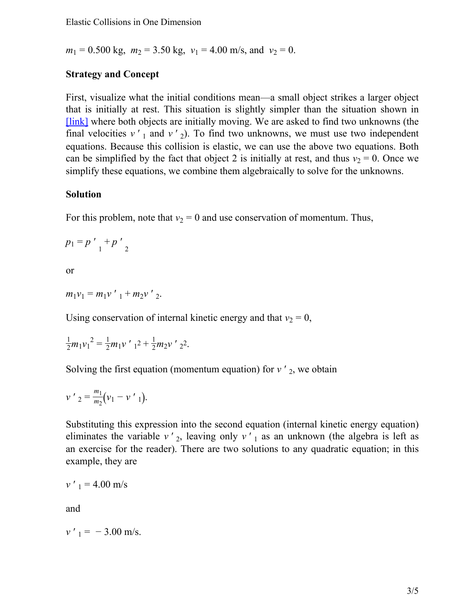$m_1 = 0.500$  kg,  $m_2 = 3.50$  kg,  $v_1 = 4.00$  m/s, and  $v_2 = 0$ .

#### **Strategy and Concept**

First, visualize what the initial conditions mean—a small object strikes a larger object that is initially at rest. This situation is slightly simpler than the situation shown in [\[link\]](#page-1-0) where both objects are initially moving. We are asked to find two unknowns (the final velocities  $v'$  1 and  $v'$  2). To find two unknowns, we must use two independent equations. Because this collision is elastic, we can use the above two equations. Both can be simplified by the fact that object 2 is initially at rest, and thus  $v_2 = 0$ . Once we simplify these equations, we combine them algebraically to solve for the unknowns.

#### **Solution**

For this problem, note that  $v_2 = 0$  and use conservation of momentum. Thus,

 $p_1 = p'_{1} + p'_{2}$ 

or

 $m_1v_1 = m_1v'_{1} + m_2v'_{2}$ .

Using conservation of internal kinetic energy and that  $v_2 = 0$ ,

$$
\frac{1}{2}m_1v_1^2 = \frac{1}{2}m_1v'_{1}^2 + \frac{1}{2}m_2v'_{2}^2.
$$

Solving the first equation (momentum equation) for  $v'_{2}$ , we obtain

$$
v'_{2} = \frac{m_1}{m_2} (v_1 - v'_{1}).
$$

Substituting this expression into the second equation (internal kinetic energy equation) eliminates the variable  $v'$ <sub>2</sub>, leaving only  $v'$ <sub>1</sub> as an unknown (the algebra is left as an exercise for the reader). There are two solutions to any quadratic equation; in this example, they are

$$
v'_{1} = 4.00 \text{ m/s}
$$

and

$$
v'_{1} = -3.00
$$
 m/s.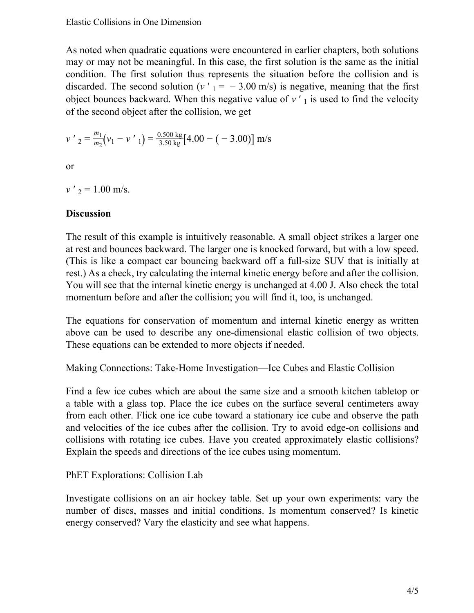As noted when quadratic equations were encountered in earlier chapters, both solutions may or may not be meaningful. In this case, the first solution is the same as the initial condition. The first solution thus represents the situation before the collision and is discarded. The second solution ( $v'$ <sub>1</sub> = − 3.00 m/s) is negative, meaning that the first object bounces backward. When this negative value of  $v'$ <sub>1</sub> is used to find the velocity of the second object after the collision, we get

$$
v'_{2} = \frac{m_1}{m_2} (v_1 - v'_{1}) = \frac{0.500 \text{ kg}}{3.50 \text{ kg}} [4.00 - (-3.00)] \text{ m/s}
$$

or

 $v'$ <sub>2</sub> = 1.00 m/s.

## **Discussion**

The result of this example is intuitively reasonable. A small object strikes a larger one at rest and bounces backward. The larger one is knocked forward, but with a low speed. (This is like a compact car bouncing backward off a full-size SUV that is initially at rest.) As a check, try calculating the internal kinetic energy before and after the collision. You will see that the internal kinetic energy is unchanged at 4.00 J. Also check the total momentum before and after the collision; you will find it, too, is unchanged.

The equations for conservation of momentum and internal kinetic energy as written above can be used to describe any one-dimensional elastic collision of two objects. These equations can be extended to more objects if needed.

Making Connections: Take-Home Investigation—Ice Cubes and Elastic Collision

Find a few ice cubes which are about the same size and a smooth kitchen tabletop or a table with a glass top. Place the ice cubes on the surface several centimeters away from each other. Flick one ice cube toward a stationary ice cube and observe the path and velocities of the ice cubes after the collision. Try to avoid edge-on collisions and collisions with rotating ice cubes. Have you created approximately elastic collisions? Explain the speeds and directions of the ice cubes using momentum.

## PhET Explorations: Collision Lab

Investigate collisions on an air hockey table. Set up your own experiments: vary the number of discs, masses and initial conditions. Is momentum conserved? Is kinetic energy conserved? Vary the elasticity and see what happens.